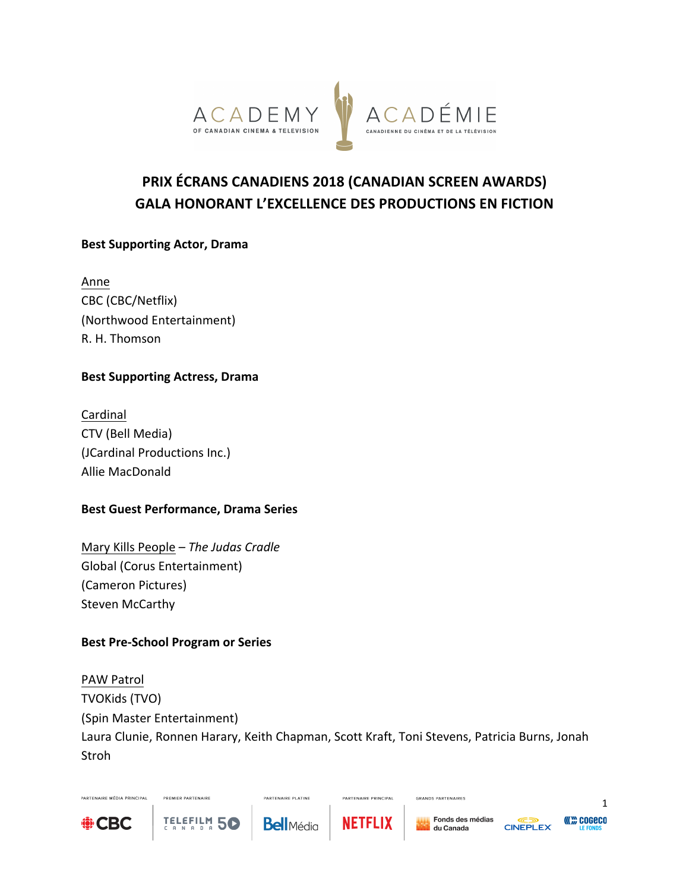

# **PRIX ÉCRANS CANADIENS 2018 (CANADIAN SCREEN AWARDS) GALA HONORANT L'EXCELLENCE DES PRODUCTIONS EN FICTION**

#### **Best Supporting Actor, Drama**

Anne CBC (CBC/Netflix) (Northwood Entertainment) R. H. Thomson

#### **Best Supporting Actress, Drama**

Cardinal CTV (Bell Media) (JCardinal Productions Inc.) Allie MacDonald

#### **Best Guest Performance, Drama Series**

Mary Kills People – The Judas Cradle Global (Corus Entertainment) (Cameron Pictures) Steven McCarthy

#### **Best Pre-School Program or Series**

PREMIER PARTENAIRE

TELEFILM 50

**PAW Patrol** TVOKids (TVO) (Spin Master Entertainment) Laura Clunie, Ronnen Harary, Keith Chapman, Scott Kraft, Toni Stevens, Patricia Burns, Jonah Stroh



PARTENAIRE MÉDIA PRINCIPAL



PARTENAIRE PLATINE



PARTENAIRE PRINCIPAL

GRANDS PARTENAIRES



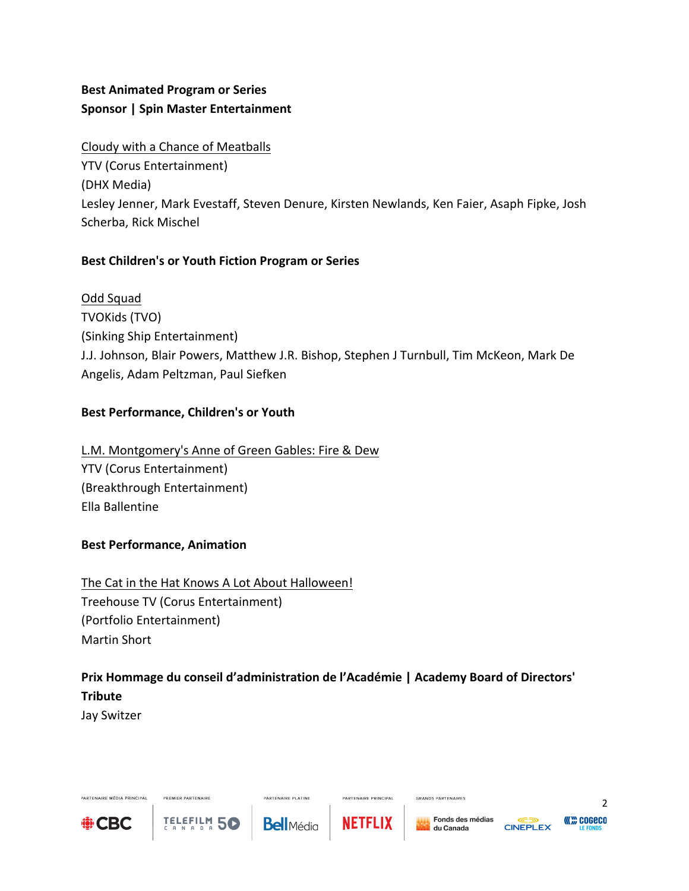## **Best Animated Program or Series Sponsor | Spin Master Entertainment**

Cloudy with a Chance of Meatballs YTV (Corus Entertainment) (DHX Media) Lesley Jenner, Mark Evestaff, Steven Denure, Kirsten Newlands, Ken Faier, Asaph Fipke, Josh Scherba, Rick Mischel

## Best Children's or Youth Fiction Program or Series

Odd Squad TVOKids (TVO) (Sinking Ship Entertainment) J.J. Johnson, Blair Powers, Matthew J.R. Bishop, Stephen J Turnbull, Tim McKeon, Mark De Angelis, Adam Peltzman, Paul Siefken

#### Best Performance, Children's or Youth

L.M. Montgomery's Anne of Green Gables: Fire & Dew YTV (Corus Entertainment) (Breakthrough Entertainment) Ella Ballentine

#### **Best Performance, Animation**

The Cat in the Hat Knows A Lot About Halloween! Treehouse TV (Corus Entertainment) (Portfolio Entertainment) Martin Short

PREMIER PARTENAIRE

TELEFILM 5C

## Prix Hommage du conseil d'administration de l'Académie | Academy Board of Directors' **Tribute**

Jay Switzer



PARTENAIRE MÉDIA PRINCIPAL

**Bell**Média

**PARTENAIRE PLATINE** 



PARTENAIRE PRINCIPAL

GRANDS PARTENAIRES



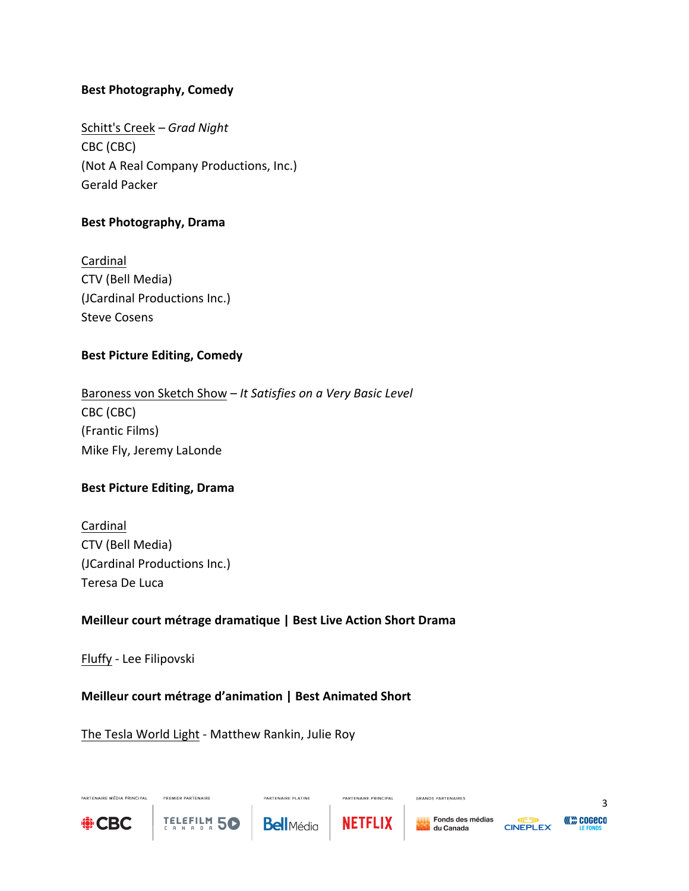#### **Best Photography, Comedy**

Schitt's Creek *– Grad Night* CBC (CBC) (Not A Real Company Productions, Inc.) Gerald Packer

#### **Best Photography, Drama**

Cardinal CTV (Bell Media) (JCardinal Productions Inc.) **Steve Cosens** 

#### **Best Picture Editing, Comedy**

Baroness von Sketch Show – *It Satisfies on a Very Basic Level* CBC (CBC) (Frantic Films) Mike Fly, Jeremy LaLonde

#### **Best Picture Editing, Drama**

Cardinal CTV (Bell Media) (JCardinal Productions Inc.) Teresa De Luca

#### **Meilleur court métrage dramatique | Best Live Action Short Drama**

Fluffy - Lee Filipovski

#### **Meilleur court métrage d'animation | Best Animated Short**

The Tesla World Light - Matthew Rankin, Julie Roy

PREMIER PARTENAIRE

TELEFILM 50



PARTENAIRE MÉDIA PRINCIPAL



**PARTENAIRE PLATINE** 



PARTENAIRE PRINCIPAL

GRANDS PARTENAIRES



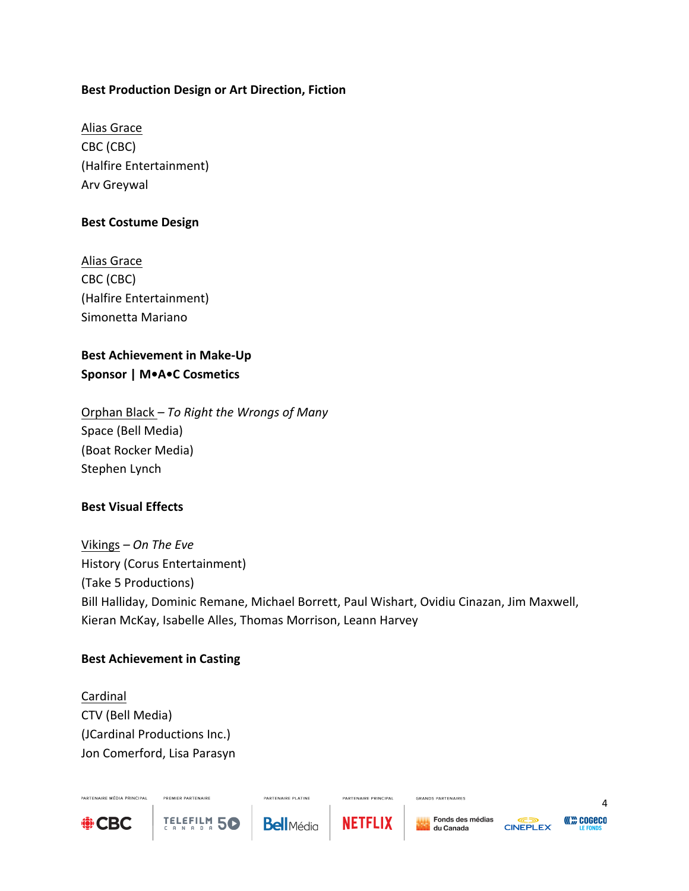#### **Best Production Design or Art Direction, Fiction**

Alias Grace CBC (CBC) (Halfire Entertainment) Arv Greywal

#### **Best Costume Design**

Alias Grace CBC (CBC) (Halfire Entertainment) Simonetta Mariano

## **Best Achievement in Make-Up Sponsor | M•A•C Cosmetics**

Orphan Black *– To Right the Wrongs of Many* Space (Bell Media) (Boat Rocker Media) Stephen Lynch

#### **Best Visual Effects**

Vikings *– On The Eve* History (Corus Entertainment) (Take 5 Productions) Bill Halliday, Dominic Remane, Michael Borrett, Paul Wishart, Ovidiu Cinazan, Jim Maxwell, Kieran McKay, Isabelle Alles, Thomas Morrison, Leann Harvey

#### **Best Achievement in Casting**

Cardinal CTV (Bell Media) (JCardinal Productions Inc.) Jon Comerford, Lisa Parasyn

PREMIER PARTENAIRE

TELEFILM 50



PARTENAIRE MÉDIA PRINCIPAL

**Bell**Média

**PARTENAIRE PLATINE** 



PARTENAIRE PRINCIPAL

Fonds des médias du Canada

GRANDS PARTENAIRES



4 **COGECO**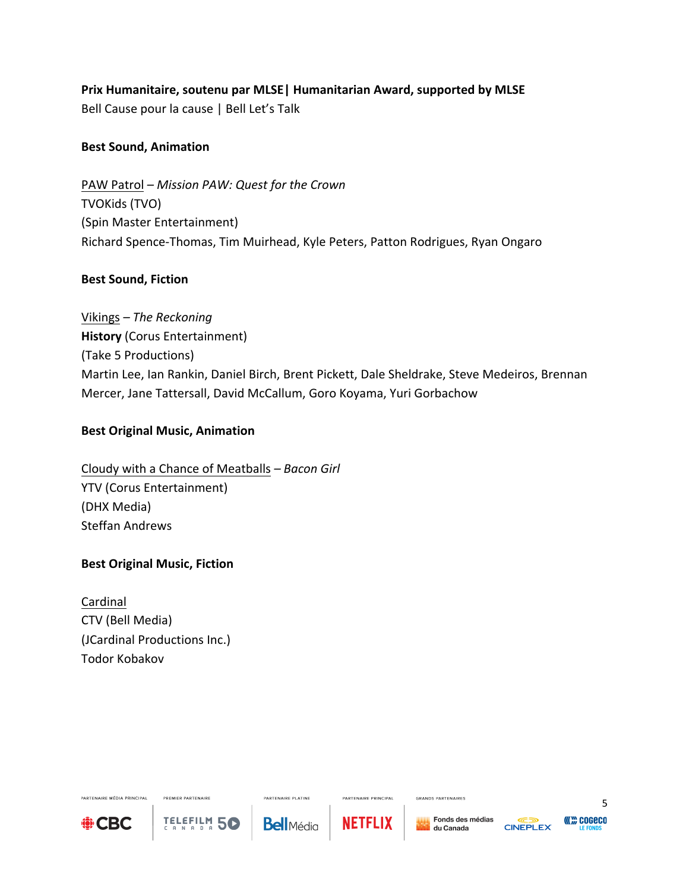## **Prix Humanitaire, soutenu par MLSE | Humanitarian Award, supported by MLSE**

Bell Cause pour la cause | Bell Let's Talk

### **Best Sound, Animation**

PAW Patrol – Mission PAW: Quest for the Crown TVOKids (TVO) (Spin Master Entertainment) Richard Spence-Thomas, Tim Muirhead, Kyle Peters, Patton Rodrigues, Ryan Ongaro

### **Best Sound, Fiction**

Vikings *– The Reckoning* **History** (Corus Entertainment) (Take 5 Productions) Martin Lee, Ian Rankin, Daniel Birch, Brent Pickett, Dale Sheldrake, Steve Medeiros, Brennan Mercer, Jane Tattersall, David McCallum, Goro Koyama, Yuri Gorbachow

### **Best Original Music, Animation**

Cloudy with a Chance of Meatballs *– Bacon Girl* YTV (Corus Entertainment) (DHX Media) Steffan Andrews

## **Best Original Music, Fiction**

Cardinal CTV (Bell Media) (JCardinal Productions Inc.) Todor Kobakov

PREMIER PARTENAIRE

TELEFILM 50



PARTENAIRE MÉDIA PRINCIPAL

**PARTENAIRE PLATINE Bell**Média



PARTENAIRE PRINCIPAL



GRANDS PARTENAIRES

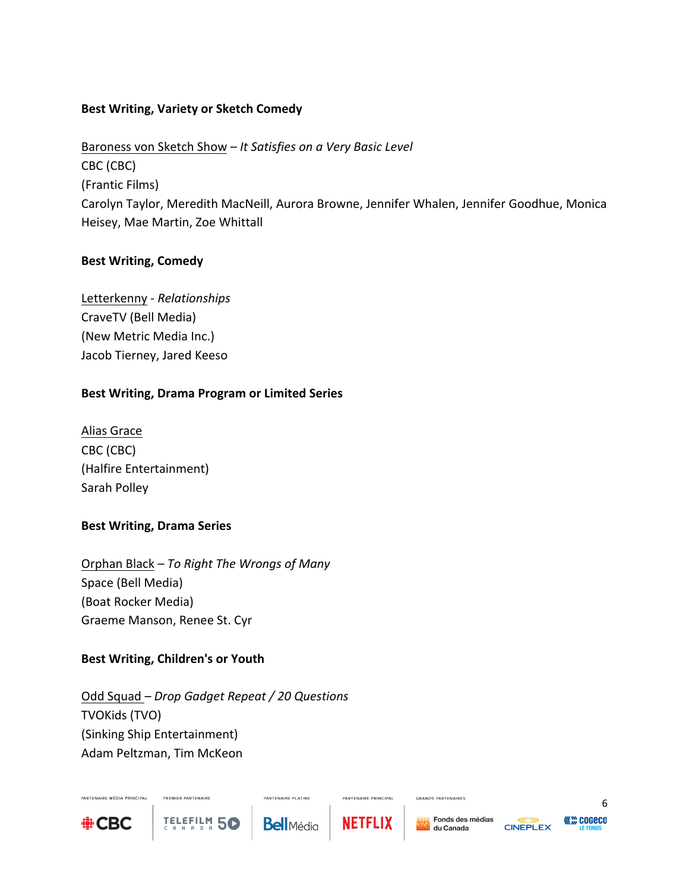#### **Best Writing, Variety or Sketch Comedy**

Baroness von Sketch Show – *It Satisfies on a Very Basic Level* CBC (CBC) (Frantic Films) Carolyn Taylor, Meredith MacNeill, Aurora Browne, Jennifer Whalen, Jennifer Goodhue, Monica Heisey, Mae Martin, Zoe Whittall

### **Best Writing, Comedy**

Letterkenny *- Relationships* CraveTV (Bell Media) (New Metric Media Inc.) Jacob Tierney, Jared Keeso

### Best Writing, Drama Program or Limited Series

Alias Grace CBC (CBC) (Halfire Entertainment) Sarah Polley

#### **Best Writing, Drama Series**

Orphan Black *– To Right The Wrongs of Many* Space (Bell Media) (Boat Rocker Media) Graeme Manson, Renee St. Cyr

## **Best Writing, Children's or Youth**

PREMIER PARTENAIRE

**TELEFILM 50** 

Odd Squad *– Drop Gadget Repeat / 20 Questions* TVOKids (TVO) (Sinking Ship Entertainment) Adam Peltzman, Tim McKeon



PARTENAIRE MÉDIA PRINCIPAL

**Bell**Média

**PARTENAIRE PLATINE** 



PARTENAIRE PRINCIPAL

GRANDS PARTENAIRES



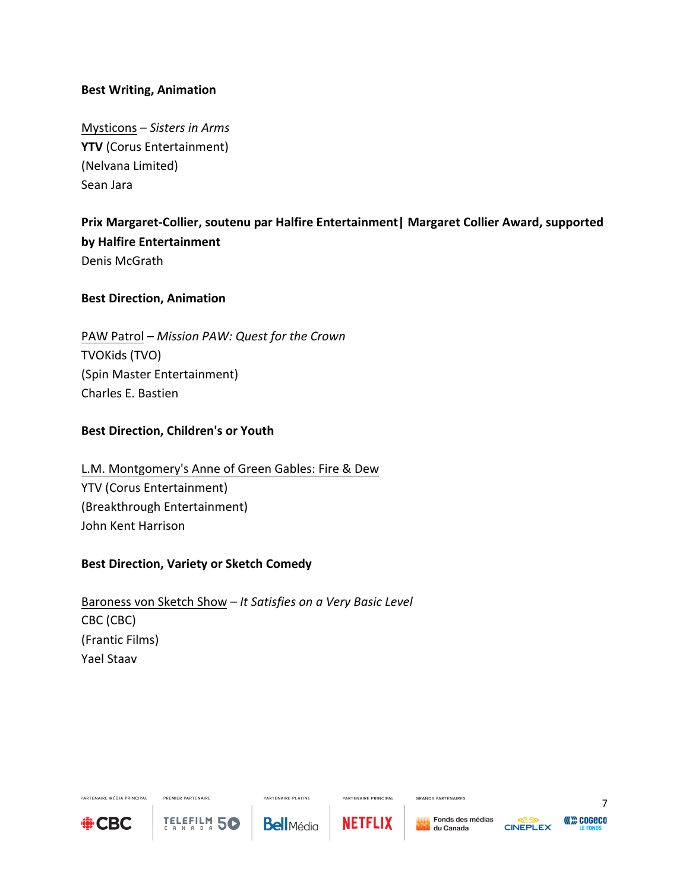#### **Best Writing, Animation**

Mysticons – Sisters in Arms **YTV** (Corus Entertainment) (Nelvana Limited) Sean Jara

## Prix Margaret-Collier, soutenu par Halfire Entertainment | Margaret Collier Award, supported **by Halfire Entertainment** Denis McGrath

#### **Best Direction, Animation**

PAW Patrol – Mission PAW: Quest for the Crown TVOKids (TVO) (Spin Master Entertainment) Charles E. Bastien

#### **Best Direction, Children's or Youth**

## L.M. Montgomery's Anne of Green Gables: Fire & Dew YTV (Corus Entertainment) (Breakthrough Entertainment) John Kent Harrison

#### **Best Direction, Variety or Sketch Comedy**

PREMIER PARTENAIRE

TELEFILM 5C

Baroness von Sketch Show – *It Satisfies on a Very Basic Level* CBC (CBC) (Frantic Films) Yael Staav



PARTENAIRE MÉDIA PRINCIPAL

**PARTENAIRE PLATINE Bell**Média



PARTENAIRE PRINCIPAL

GRANDS PARTENAIRES

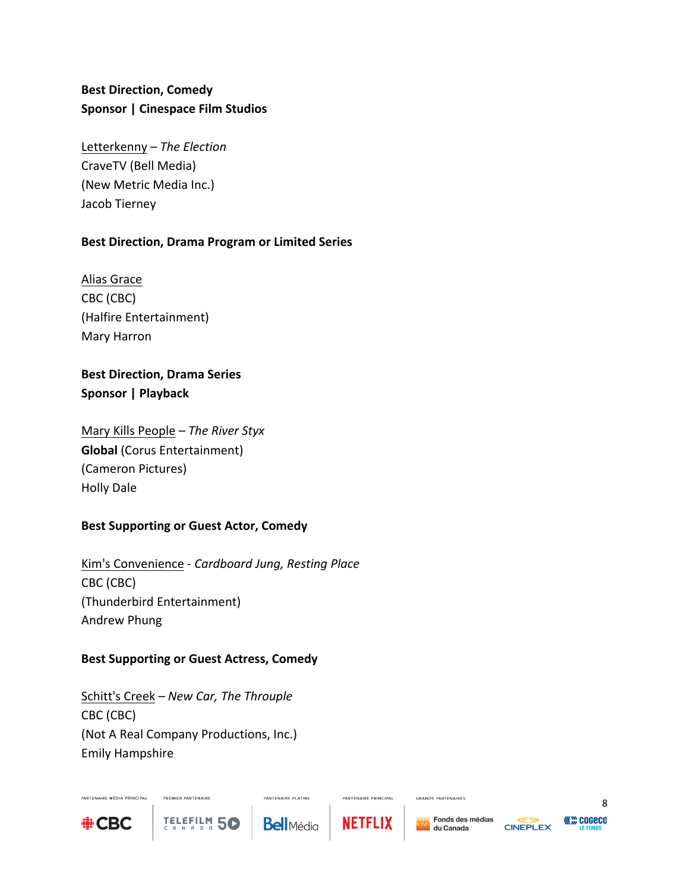## **Best Direction, Comedy Sponsor | Cinespace Film Studios**

Letterkenny – The Election CraveTV (Bell Media) (New Metric Media Inc.) Jacob Tierney

### **Best Direction, Drama Program or Limited Series**

Alias Grace CBC (CBC) (Halfire Entertainment) Mary Harron

## **Best Direction, Drama Series Sponsor | Playback**

Mary Kills People – The River Styx **Global** (Corus Entertainment) (Cameron Pictures) Holly Dale

## **Best Supporting or Guest Actor, Comedy**

Kim's Convenience - *Cardboard Jung, Resting Place* CBC (CBC) (Thunderbird Entertainment) Andrew Phung

## **Best Supporting or Guest Actress, Comedy**

Schitt's Creek – New Car, The Throuple CBC (CBC) (Not A Real Company Productions, Inc.) Emily Hampshire

PREMIER PARTENAIRE

TELEFILM 50



PARTENAIRE MÉDIA PRINCIPAL

**Bell**Média

**PARTENAIRE PLATINE** 



PARTENAIRE PRINCIPAL

GRANDS PARTENAIRES